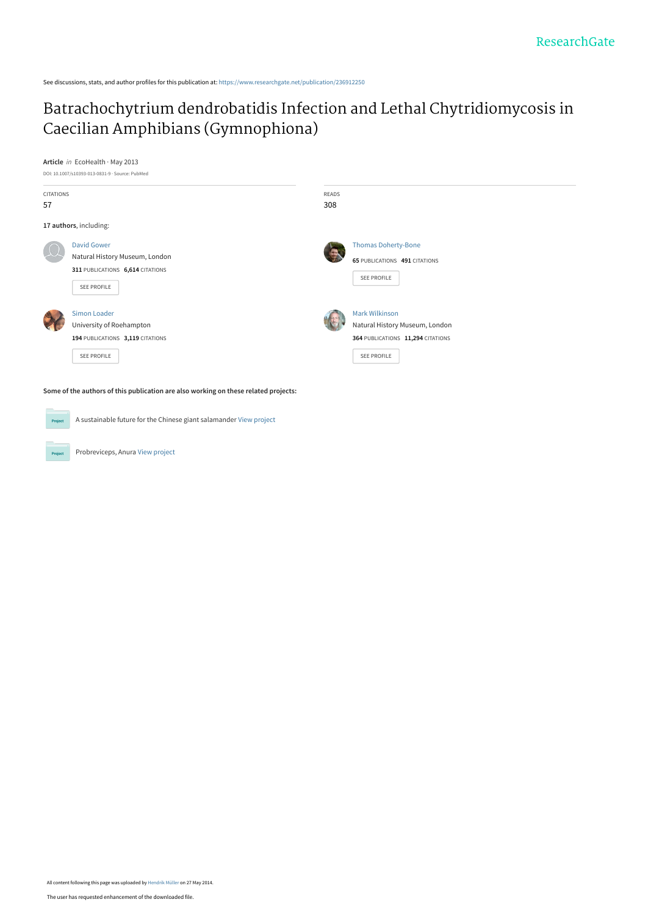See discussions, stats, and author profiles for this publication at: [https://www.researchgate.net/publication/236912250](https://www.researchgate.net/publication/236912250_Batrachochytrium_dendrobatidis_Infection_and_Lethal_Chytridiomycosis_in_Caecilian_Amphibians_Gymnophiona?enrichId=rgreq-2c8714e5bfd7b44921fe995cf1b02e56-XXX&enrichSource=Y292ZXJQYWdlOzIzNjkxMjI1MDtBUzoxMDEzNzEzNDA2NTY2NDdAMTQwMTE4MDIxOTM0Mw%3D%3D&el=1_x_2&_esc=publicationCoverPdf)

## [Batrachochytrium dendrobatidis Infection and Lethal Chytridiomycosis in](https://www.researchgate.net/publication/236912250_Batrachochytrium_dendrobatidis_Infection_and_Lethal_Chytridiomycosis_in_Caecilian_Amphibians_Gymnophiona?enrichId=rgreq-2c8714e5bfd7b44921fe995cf1b02e56-XXX&enrichSource=Y292ZXJQYWdlOzIzNjkxMjI1MDtBUzoxMDEzNzEzNDA2NTY2NDdAMTQwMTE4MDIxOTM0Mw%3D%3D&el=1_x_3&_esc=publicationCoverPdf) Caecilian Amphibians (Gymnophiona)

**Article** in EcoHealth · May 2013





A sustainable future for the Chinese giant salamander [View project](https://www.researchgate.net/project/A-sustainable-future-for-the-Chinese-giant-salamander?enrichId=rgreq-2c8714e5bfd7b44921fe995cf1b02e56-XXX&enrichSource=Y292ZXJQYWdlOzIzNjkxMjI1MDtBUzoxMDEzNzEzNDA2NTY2NDdAMTQwMTE4MDIxOTM0Mw%3D%3D&el=1_x_9&_esc=publicationCoverPdf)

Probreviceps, Anura [View project](https://www.researchgate.net/project/Probreviceps-Anura?enrichId=rgreq-2c8714e5bfd7b44921fe995cf1b02e56-XXX&enrichSource=Y292ZXJQYWdlOzIzNjkxMjI1MDtBUzoxMDEzNzEzNDA2NTY2NDdAMTQwMTE4MDIxOTM0Mw%3D%3D&el=1_x_9&_esc=publicationCoverPdf)

 $Pro$ 

Project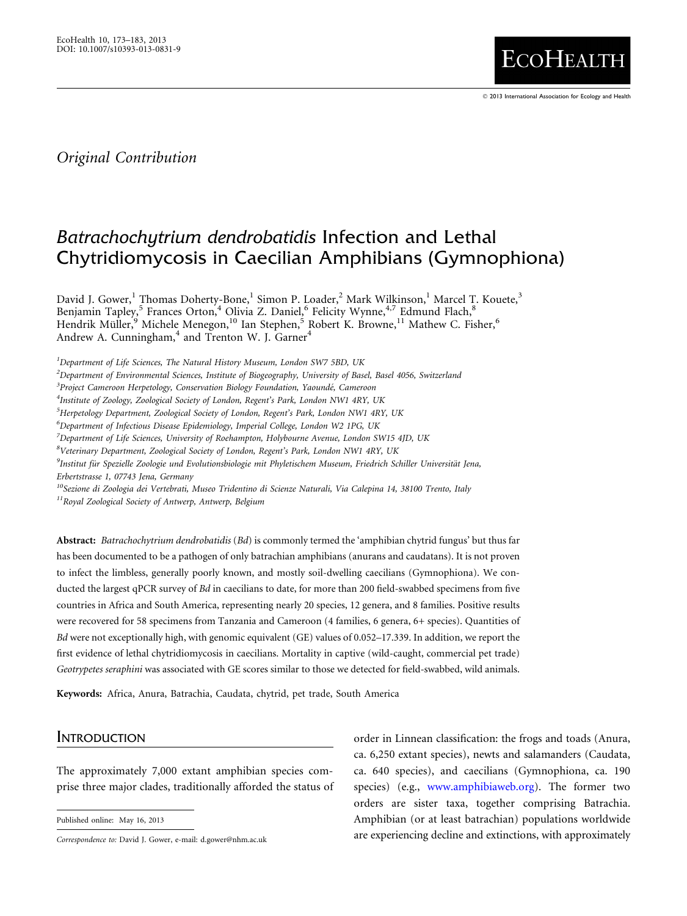$@$  2013 International Association for Ecology and Health

**ECOHEALTH** 

## Original Contribution

# Batrachochytrium dendrobatidis Infection and Lethal Chytridiomycosis in Caecilian Amphibians (Gymnophiona)

David J. Gower,<sup>1</sup> Thomas Doherty-Bone,<sup>1</sup> Simon P. Loader,<sup>2</sup> Mark Wilkinson,<sup>1</sup> Marcel T. Kouete,<sup>3</sup> Benjamin Tapley,<sup>5</sup> Frances Orton,<sup>4</sup> Olivia Z. Daniel,<sup>6</sup> Felicity Wynne,<sup>4,7</sup> Edmund Flach,<sup>8</sup> Hendrik Müller, Michele Menegon, 10 Ian Stephen, <sup>5</sup> Robert K. Browne, <sup>11</sup> Mathew C. Fisher, 6 Andrew A. Cunningham,<sup>4</sup> and Trenton W. J. Garner<sup>4</sup>

<sup>1</sup>Department of Life Sciences, The Natural History Museum, London SW7 5BD, UK

 $^2$ Department of Environmental Sciences, Institute of Biogeography, University of Basel, Basel 4056, Switzerland

<sup>3</sup>Project Cameroon Herpetology, Conservation Biology Foundation, Yaoundé, Cameroon

<sup>4</sup>Institute of Zoology, Zoological Society of London, Regent's Park, London NW1 4RY, UK

<sup>5</sup>Herpetology Department, Zoological Society of London, Regent's Park, London NW1 4RY, UK

6 Department of Infectious Disease Epidemiology, Imperial College, London W2 1PG, UK

 $^7$ Department of Life Sciences, University of Roehampton, Holybourne Avenue, London SW15 4JD, UK

<sup>8</sup>Veterinary Department, Zoological Society of London, Regent's Park, London NW1 4RY, UK

9<br>Institut für Spezielle Zoologie und Evolutionsbiologie mit Phyletischem Museum, Friedrich Schiller Universität Jena, Erbertstrasse 1, 07743 Jena, Germany

<sup>10</sup>Sezione di Zoologia dei Vertebrati, Museo Tridentino di Scienze Naturali, Via Calepina 14, 38100 Trento, Italy

<sup>11</sup>Royal Zoological Society of Antwerp, Antwerp, Belgium

Abstract: Batrachochytrium dendrobatidis (Bd) is commonly termed the 'amphibian chytrid fungus' but thus far has been documented to be a pathogen of only batrachian amphibians (anurans and caudatans). It is not proven to infect the limbless, generally poorly known, and mostly soil-dwelling caecilians (Gymnophiona). We conducted the largest qPCR survey of Bd in caecilians to date, for more than 200 field-swabbed specimens from five countries in Africa and South America, representing nearly 20 species, 12 genera, and 8 families. Positive results were recovered for 58 specimens from Tanzania and Cameroon (4 families, 6 genera, 6+ species). Quantities of Bd were not exceptionally high, with genomic equivalent (GE) values of 0.052–17.339. In addition, we report the first evidence of lethal chytridiomycosis in caecilians. Mortality in captive (wild-caught, commercial pet trade) Geotrypetes seraphini was associated with GE scores similar to those we detected for field-swabbed, wild animals.

Keywords: Africa, Anura, Batrachia, Caudata, chytrid, pet trade, South America

### **INTRODUCTION**

The approximately 7,000 extant amphibian species comprise three major clades, traditionally afforded the status of

Published online: May 16, 2013

order in Linnean classification: the frogs and toads (Anura, ca. 6,250 extant species), newts and salamanders (Caudata, ca. 640 species), and caecilians (Gymnophiona, ca. 190 species) (e.g., [www.amphibiaweb.org\)](http://dx.doi.org/10.1371/journal.ppat.1000458). The former two orders are sister taxa, together comprising Batrachia. Amphibian (or at least batrachian) populations worldwide are experiencing decline and extinctions, with approximately

Correspondence to: David J. Gower, e-mail: d.gower@nhm.ac.uk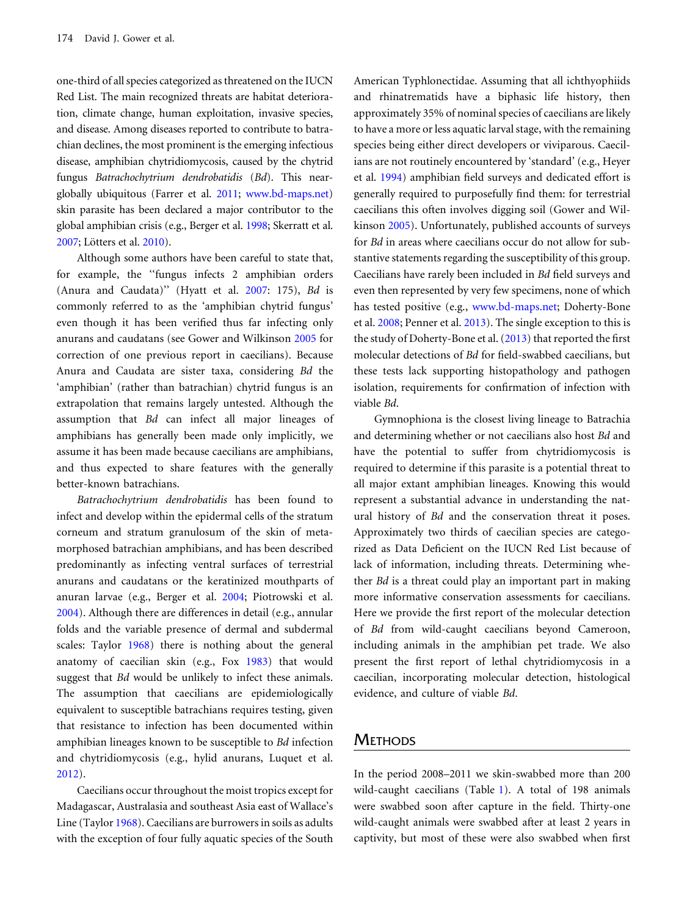one-third of all species categorized as threatened on the IUCN Red List. The main recognized threats are habitat deterioration, climate change, human exploitation, invasive species, and disease. Among diseases reported to contribute to batrachian declines, the most prominent is the emerging infectious disease, amphibian chytridiomycosis, caused by the chytrid fungus Batrachochytrium dendrobatidis (Bd). This nearglobally ubiquitous (Farrer et al. [2011;](#page-10-0) [www.bd-maps.net](http://dx.doi.org/10.1371/journal.pone.0056236)) skin parasite has been declared a major contributor to the global amphibian crisis (e.g., Berger et al. [1998](#page-10-0); Skerratt et al. [2007;](#page-10-0) Lötters et al. [2010](#page-10-0)).

Although some authors have been careful to state that, for example, the ''fungus infects 2 amphibian orders (Anura and Caudata)'' (Hyatt et al. [2007](#page-10-0): 175), Bd is commonly referred to as the 'amphibian chytrid fungus' even though it has been verified thus far infecting only anurans and caudatans (see Gower and Wilkinson [2005](#page-10-0) for correction of one previous report in caecilians). Because Anura and Caudata are sister taxa, considering Bd the 'amphibian' (rather than batrachian) chytrid fungus is an extrapolation that remains largely untested. Although the assumption that Bd can infect all major lineages of amphibians has generally been made only implicitly, we assume it has been made because caecilians are amphibians, and thus expected to share features with the generally better-known batrachians.

Batrachochytrium dendrobatidis has been found to infect and develop within the epidermal cells of the stratum corneum and stratum granulosum of the skin of metamorphosed batrachian amphibians, and has been described predominantly as infecting ventral surfaces of terrestrial anurans and caudatans or the keratinized mouthparts of anuran larvae (e.g., Berger et al. [2004](#page-10-0); Piotrowski et al. [2004](#page-10-0)). Although there are differences in detail (e.g., annular folds and the variable presence of dermal and subdermal scales: Taylor [1968\)](#page-11-0) there is nothing about the general anatomy of caecilian skin (e.g., Fox [1983\)](#page-10-0) that would suggest that *Bd* would be unlikely to infect these animals. The assumption that caecilians are epidemiologically equivalent to susceptible batrachians requires testing, given that resistance to infection has been documented within amphibian lineages known to be susceptible to Bd infection and chytridiomycosis (e.g., hylid anurans, Luquet et al. [2012](#page-10-0)).

Caecilians occur throughout the moist tropics except for Madagascar, Australasia and southeast Asia east of Wallace's Line (Taylor [1968\)](#page-11-0). Caecilians are burrowers in soils as adults with the exception of four fully aquatic species of the South

American Typhlonectidae. Assuming that all ichthyophiids and rhinatrematids have a biphasic life history, then approximately 35% of nominal species of caecilians are likely to have a more or less aquatic larval stage, with the remaining species being either direct developers or viviparous. Caecilians are not routinely encountered by 'standard' (e.g., Heyer et al. [1994\)](#page-10-0) amphibian field surveys and dedicated effort is generally required to purposefully find them: for terrestrial caecilians this often involves digging soil (Gower and Wilkinson [2005\)](#page-10-0). Unfortunately, published accounts of surveys for Bd in areas where caecilians occur do not allow for substantive statements regarding the susceptibility of this group. Caecilians have rarely been included in Bd field surveys and even then represented by very few specimens, none of which has tested positive (e.g., [www.bd-maps.net;](http://www.bd-maps.net) Doherty-Bone et al. [2008;](#page-10-0) Penner et al. [2013](#page-10-0)). The single exception to this is the study of Doherty-Bone et al. [\(2013\)](#page-10-0) that reported the first molecular detections of Bd for field-swabbed caecilians, but these tests lack supporting histopathology and pathogen isolation, requirements for confirmation of infection with viable Bd.

Gymnophiona is the closest living lineage to Batrachia and determining whether or not caecilians also host Bd and have the potential to suffer from chytridiomycosis is required to determine if this parasite is a potential threat to all major extant amphibian lineages. Knowing this would represent a substantial advance in understanding the natural history of Bd and the conservation threat it poses. Approximately two thirds of caecilian species are categorized as Data Deficient on the IUCN Red List because of lack of information, including threats. Determining whether Bd is a threat could play an important part in making more informative conservation assessments for caecilians. Here we provide the first report of the molecular detection of Bd from wild-caught caecilians beyond Cameroon, including animals in the amphibian pet trade. We also present the first report of lethal chytridiomycosis in a caecilian, incorporating molecular detection, histological evidence, and culture of viable Bd.

### **METHODS**

In the period 2008–2011 we skin-swabbed more than 200 wild-caught caecilians (Table [1\)](#page-3-0). A total of 198 animals were swabbed soon after capture in the field. Thirty-one wild-caught animals were swabbed after at least 2 years in captivity, but most of these were also swabbed when first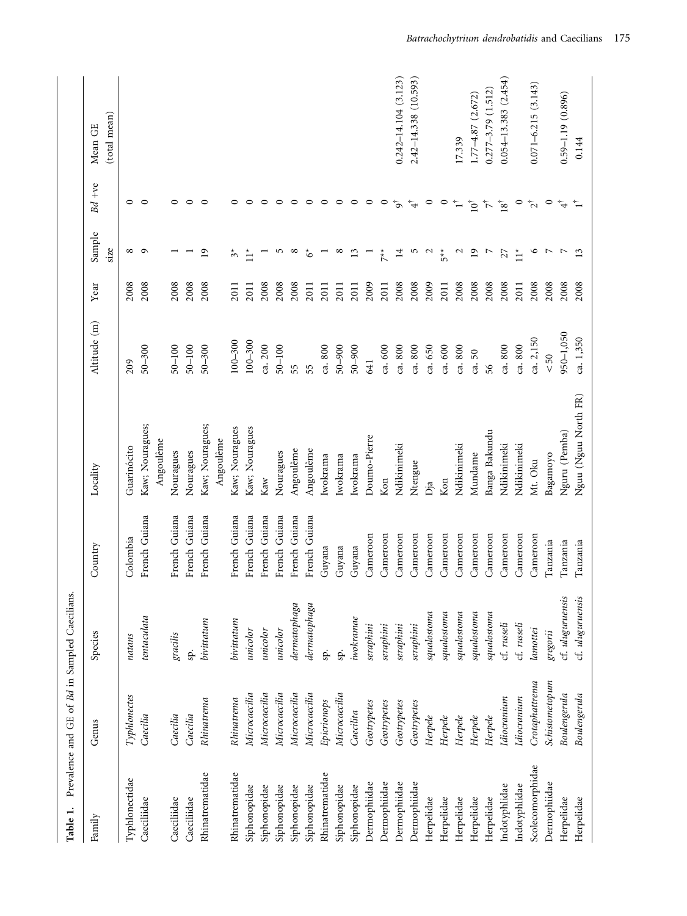<span id="page-3-0"></span>

| Family           | Genus               | Species          | Country         | Locality             | Altitude (m)         | Year | Sample                       | $Bd + ve$             | Mean GE                  |
|------------------|---------------------|------------------|-----------------|----------------------|----------------------|------|------------------------------|-----------------------|--------------------------|
|                  |                     |                  |                 |                      |                      |      | size                         |                       | (total mean)             |
| Typhlonectidae   | Typhlonectes        | natans           | Colombia        | Guarinócito          | 209                  | 2008 | $^{\circ}$                   | $\circ$               |                          |
| Caeciliidae      | Caecilia            | tentaculata      | French Guiana   | Kaw; Nouragues;      | $50 - 300$           | 2008 | $\circ$                      | $\circ$               |                          |
|                  |                     |                  |                 | Angoulême            |                      |      |                              |                       |                          |
| Caeciliidae      | Caecilia            | gracilis         | French Guiana   | Nouragues            | $50 - 100$           | 2008 |                              | ⊂                     |                          |
| Caeciliidae      | Caecilia            | sp.              | French Guiana   | Nouragues            | $50 - 100$           | 2008 |                              | 0                     |                          |
| Rhinatrematidae  | Rhinatrema          | bivittatum       | French Guiana   | Kaw; Nouragues;      | $50 - 300$           | 2008 | $\overline{0}$               | $\circ$               |                          |
|                  |                     |                  |                 | Angoulême            |                      |      |                              |                       |                          |
| Rhinatrematidae  | Rhinatrema          | bivittatum       | French Guiana   | Kaw; Nouragues       | $100 - 300$          | 2011 | $\widetilde{\mathcal{E}}$    | $\circ$               |                          |
| Siphonopidae     | Microcaecilia       | unicolor         | French Guiana   | Kaw; Nouragues       | $100 - 300$          | 2011 | $\stackrel{\star}{=}$        | $\circ$               |                          |
| Siphonopidae     | Microcaecilia       | unicolor         | French Guiana   | Kaw                  | ca. 200              | 2008 |                              | 0                     |                          |
| Siphonopidae     | Microcaecilia       | unicolor         | French Guiana   | Nouragues            | $50 - 100$           | 2008 | m                            | $\circ$               |                          |
| Siphonopidae     | Microcaecilia       | dermatophaga     | French Guiana   | Angoulême            | 55                   | 2008 | $^{\circ}$                   | $\circ$               |                          |
| Siphonopidae     | Microcaecilia       | dermatophaga     | French Guiana   | Angoulême            | 55                   | 2011 | $\boldsymbol{\check{\circ}}$ | $\circ$               |                          |
| Rhinatrematidae  | Epicrionops         | sp.              | Guyana          | <b>Iwokrama</b>      | ca. 800              | 2011 |                              | $\circ$               |                          |
| Siphonopidae     | Microcaecilia       | sp.              | Guyana          | twokrama             | $50 - 900$           | 2011 | $\infty$                     | $\circ$               |                          |
| Siphonopidae     | Caecilita           | iwokramae        | Guyana          | <b>Iwokrama</b>      | $50 - 900$           | 2011 | $\Xi$                        | っ                     |                          |
| Dermophiidae     | Geotrypetes         | seraphini        | Cameroon        | Doumo-Pierre         | 641                  | 2009 |                              | 0                     |                          |
| Dermophiidae     | Geotrypetes         | seraphini        | Cameroon        | Kon                  | ca. 600              | 2011 | $\stackrel{*}{\uparrow}$     | 0                     |                          |
| Dermophiidae     | Geotrypetes         | seraphini        | Cameroon        | Ndikinimeki          | ca. 800              | 2008 | $\overline{14}$              | $6^{\dagger}$         | $0.242 - 14.104$ (3.123) |
| Dermophiidae     | Geotrypetes         | seraphini        | Cameroon        | Ntengue              | ca. 800              | 2008 | S                            | $\ddot{4}$            | $2.42 - 14.338(10.593)$  |
| Herpelidae       | Herpele             | squalostoma      | Cameroon        | Ďja                  | ca. 650              | 2009 | $\mathbf{c}$                 | $\circ$               |                          |
| Herpelidae       | Herpele             | squalostoma      | Cameroon        | Kon                  | ca. 600              | 2011 | $5**$                        | $\circ$               |                          |
| Herpelidae       | Herpele             | squalostoma      | Cameroon        | Ndikinimeki          | ca. 800              | 2008 | $\mathbf{\sim}$              |                       | 17.339                   |
| Herpelidae       | Herpele             | squalostoma      | Cameroon        | Mundame              | $\mathcal{S}$<br>ca. | 2008 | $\overline{19}$              | $10^{\dagger}$        | $1.77 - 4.87$ $(2.672)$  |
| Herpelidae       | $\label{eq:4} Here$ | squalostoma      | Cameroon        | Banga Bakundu        | 56                   | 2008 | N                            | $\vec{r}$             | $0.277 - 3.79$ $(1.512)$ |
| Indotyphlidae    | Idiocranium         | cf. russeli      | Cameroon        | Ndikinimeki          | ca. 800              | 2008 | 27                           | $18^\dagger$          | $0.054 - 13.383(2.454)$  |
| Indotyphlidae    | Idiocranium         | cf. russeli      | Cameroon        | Ndikinimeki          | ca. 800              | 2011 | $\stackrel{\star}{=}$        | $\circ$               |                          |
| Scolecomorphidae | Crotaphattrema      | lamottei         | Cameroon        | Mt. Oku              | ca. 2,150            | 2008 | $\circ$                      | $\tilde{c}^{\dagger}$ | $0.071 - 6.215(3.143)$   |
| Dermophiidae     | Schistometopum      | gregorii         | <b>Tanzania</b> | Bagamoyo             | &50                  | 2008 |                              | $\circ$               |                          |
| Herpelidae       | Boulengerula        | cf. uluguruensis | Tanzania        | Nguru (Pemba)        | 950-1,050            | 2008 |                              | $\vec{r}$             | $0.59 - 1.19$ $(0.896)$  |
| Herpelidae       | Boulengerula        | cf. uluguruensis | Tanzania        | Nguu (Nguu North FR) | ca. 1,350            | 2008 | $\frac{3}{2}$                |                       | 0.144                    |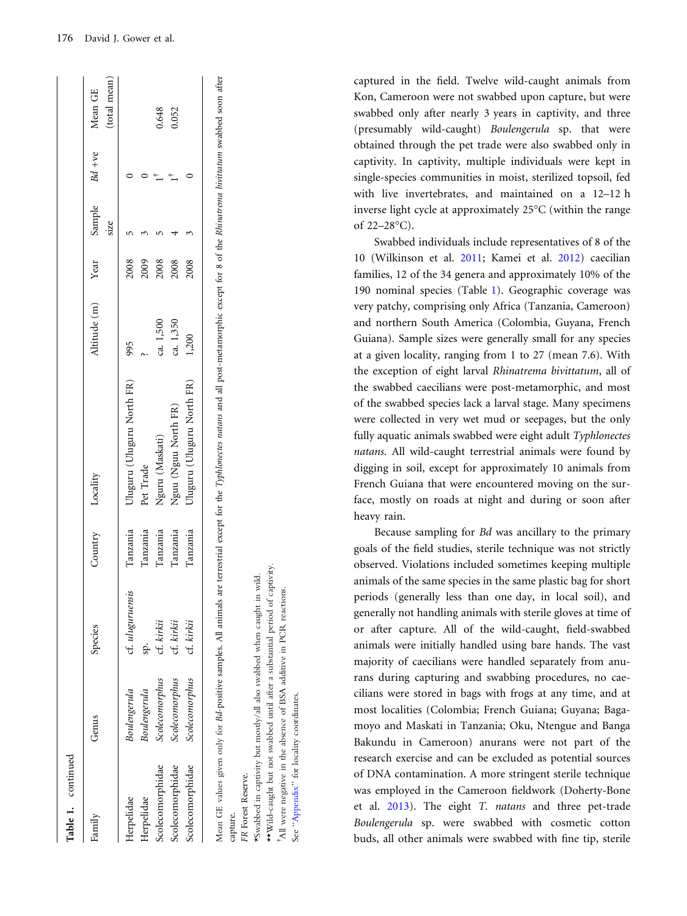| Family           | Genus          | Species          | Country Locality |                           | Altitude (m) | Year | Sample<br>size | Bd +ve | (total mean<br>Mean GE |
|------------------|----------------|------------------|------------------|---------------------------|--------------|------|----------------|--------|------------------------|
| Herpelidae       | soulengerula   | cf. uluguruensis | anzania          | Juguru (Uluguru North FR) | 995          | 2008 |                |        |                        |
| Herpelidae       | soulengerula   | ë.               | $T$ anzania      | Pet Trade                 |              | 2009 |                |        |                        |
| colecomorphidae  | scolecomorphus | :f. kirkii       | anzania          | Nguru (Maskati)           | ca. 1,500    | 2008 |                |        | 0.648                  |
| colecomorphidae  | scolecomorphus | cf. kirkii       | anzania          | Vguu (Nguu North FR)      | ca. 1,350    | 2008 |                |        | 0.052                  |
| scolecomorphidae | colecomorphus  | cf. kirkii       | <b>Tanzania</b>  | Juguru (Uluguru North FR) | 1,200        | 2008 |                |        |                        |
|                  |                |                  |                  |                           |              |      |                |        |                        |

Mean GE values given only for Bd-positive samples. All animals are terrestrial except for the Typhlonectes natans and all post-metamorphic except for 8 of the Rhinatrema bivittatum swabbed soon after

Mean GE values given only for Bd-positive samples. All animals are terrestrial except for the Typhlonectes natans and all post-metamorphic except for 8 of the Rhinatrema bivittatum swabbed soon after

capture.

FR Forest Reserve. FR Forest Reserve.

\*Swabbed in captivity but mostly/all also swabbed when caught in wild. \*Swabbed in captivity but mostly/all also swabbed when caught in wild.

\*\* Wild-caught but not swabbed until after a substantial period of captivity. \*\*Wild-caught but not swabbed until after a substantial period of captivity. All were negative in the absence of BSA additive in PCR reactions.

All were negative in the absence of BSA additive in PCR reactions. See "Appendix" for locality coordinates. See ''Appendix'' for locality coordinates. captured in the field. Twelve wild-caught animals from Kon, Cameroon were not swabbed upon capture, but were swabbed only after nearly 3 years in captivity, and three (presumably wild-caught) Boulengerula sp. that were obtained through the pet trade were also swabbed only in captivity. In captivity, multiple individuals were kept in single-species communities in moist, sterilized topsoil, fed with live invertebrates, and maintained on a 12–12 h inverse light cycle at approximately 25 C (within the range of 22–28 C).

Swabbed individuals include representatives of 8 of the 10 (Wilkinson et al. [2011](#page-11-0); Kamei et al. [2012\)](#page-10-0) caecilian families, 12 of the 34 genera and approximately 10% of the 190 nominal species (Table [1](#page-3-0)). Geographic coverage was very patchy, comprising only Africa (Tanzania, Cameroon) and northern South America (Colombia, Guyana, French Guiana). Sample sizes were generally small for any species at a given locality, ranging from 1 to 27 (mean 7.6). With the exception of eight larval Rhinatrema bivittatum, all of the swabbed caecilians were post-metamorphic, and most of the swabbed species lack a larval stage. Many specimens were collected in very wet mud or seepages, but the only fully aquatic animals swabbed were eight adult Typhlonectes natans. All wild-caught terrestrial animals were found by digging in soil, except for approximately 10 animals from French Guiana that were encountered moving on the surface, mostly on roads at night and during or soon after heavy rain.

Because sampling for Bd was ancillary to the primary goals of the field studies, sterile technique was not strictly observed. Violations included sometimes keeping multiple animals of the same species in the same plastic bag for short periods (generally less than one day, in local soil), and generally not handling animals with sterile gloves at time of or after capture. All of the wild-caught, field-swabbed animals were initially handled using bare hands. The vast majority of caecilians were handled separately from anurans during capturing and swabbing procedures, no caecilians were stored in bags with frogs at any time, and at most localities (Colombia; French Guiana; Guyana; Bagamoyo and Maskati in Tanzania; Oku, Ntengue and Banga Bakundu in Cameroon) anurans were not part of the research exercise and can be excluded as potential sources of DNA contamination. A more stringent sterile technique was employed in the Cameroon fieldwork (Doherty-Bone et al. [2013\)](#page-10-0). The eight T. natans and three pet-trade Boulengerula sp. were swabbed with cosmetic cotton buds, all other animals were swabbed with fine tip, sterile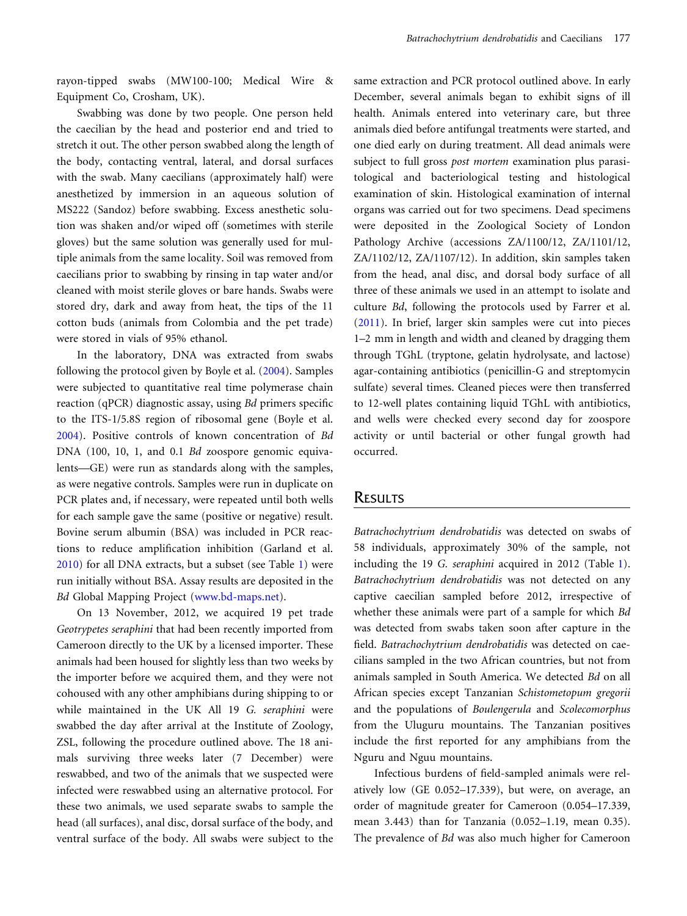rayon-tipped swabs (MW100-100; Medical Wire & Equipment Co, Crosham, UK).

Swabbing was done by two people. One person held the caecilian by the head and posterior end and tried to stretch it out. The other person swabbed along the length of the body, contacting ventral, lateral, and dorsal surfaces with the swab. Many caecilians (approximately half) were anesthetized by immersion in an aqueous solution of MS222 (Sandoz) before swabbing. Excess anesthetic solution was shaken and/or wiped off (sometimes with sterile gloves) but the same solution was generally used for multiple animals from the same locality. Soil was removed from caecilians prior to swabbing by rinsing in tap water and/or cleaned with moist sterile gloves or bare hands. Swabs were stored dry, dark and away from heat, the tips of the 11 cotton buds (animals from Colombia and the pet trade) were stored in vials of 95% ethanol.

In the laboratory, DNA was extracted from swabs following the protocol given by Boyle et al. [\(2004\)](#page-10-0). Samples were subjected to quantitative real time polymerase chain reaction (qPCR) diagnostic assay, using Bd primers specific to the ITS-1/5.8S region of ribosomal gene (Boyle et al. [2004](#page-10-0)). Positive controls of known concentration of Bd DNA (100, 10, 1, and 0.1 Bd zoospore genomic equivalents—GE) were run as standards along with the samples, as were negative controls. Samples were run in duplicate on PCR plates and, if necessary, were repeated until both wells for each sample gave the same (positive or negative) result. Bovine serum albumin (BSA) was included in PCR reactions to reduce amplification inhibition (Garland et al. [2010](#page-10-0)) for all DNA extracts, but a subset (see Table [1\)](#page-3-0) were run initially without BSA. Assay results are deposited in the Bd Global Mapping Project [\(www.bd-maps.net](http://www.bd-maps.net)).

On 13 November, 2012, we acquired 19 pet trade Geotrypetes seraphini that had been recently imported from Cameroon directly to the UK by a licensed importer. These animals had been housed for slightly less than two weeks by the importer before we acquired them, and they were not cohoused with any other amphibians during shipping to or while maintained in the UK All 19 G. seraphini were swabbed the day after arrival at the Institute of Zoology, ZSL, following the procedure outlined above. The 18 animals surviving three weeks later (7 December) were reswabbed, and two of the animals that we suspected were infected were reswabbed using an alternative protocol. For these two animals, we used separate swabs to sample the head (all surfaces), anal disc, dorsal surface of the body, and ventral surface of the body. All swabs were subject to the same extraction and PCR protocol outlined above. In early December, several animals began to exhibit signs of ill health. Animals entered into veterinary care, but three animals died before antifungal treatments were started, and one died early on during treatment. All dead animals were subject to full gross *post mortem* examination plus parasitological and bacteriological testing and histological examination of skin. Histological examination of internal organs was carried out for two specimens. Dead specimens were deposited in the Zoological Society of London Pathology Archive (accessions ZA/1100/12, ZA/1101/12, ZA/1102/12, ZA/1107/12). In addition, skin samples taken from the head, anal disc, and dorsal body surface of all three of these animals we used in an attempt to isolate and culture Bd, following the protocols used by Farrer et al. ([2011\)](#page-10-0). In brief, larger skin samples were cut into pieces 1–2 mm in length and width and cleaned by dragging them through TGhL (tryptone, gelatin hydrolysate, and lactose) agar-containing antibiotics (penicillin-G and streptomycin sulfate) several times. Cleaned pieces were then transferred to 12-well plates containing liquid TGhL with antibiotics, and wells were checked every second day for zoospore activity or until bacterial or other fungal growth had occurred.

## **RESULTS**

Batrachochytrium dendrobatidis was detected on swabs of 58 individuals, approximately 30% of the sample, not including the 19 G. seraphini acquired in 2012 (Table [1\)](#page-3-0). Batrachochytrium dendrobatidis was not detected on any captive caecilian sampled before 2012, irrespective of whether these animals were part of a sample for which Bd was detected from swabs taken soon after capture in the field. Batrachochytrium dendrobatidis was detected on caecilians sampled in the two African countries, but not from animals sampled in South America. We detected Bd on all African species except Tanzanian Schistometopum gregorii and the populations of Boulengerula and Scolecomorphus from the Uluguru mountains. The Tanzanian positives include the first reported for any amphibians from the Nguru and Nguu mountains.

Infectious burdens of field-sampled animals were relatively low (GE 0.052–17.339), but were, on average, an order of magnitude greater for Cameroon (0.054–17.339, mean 3.443) than for Tanzania (0.052–1.19, mean 0.35). The prevalence of Bd was also much higher for Cameroon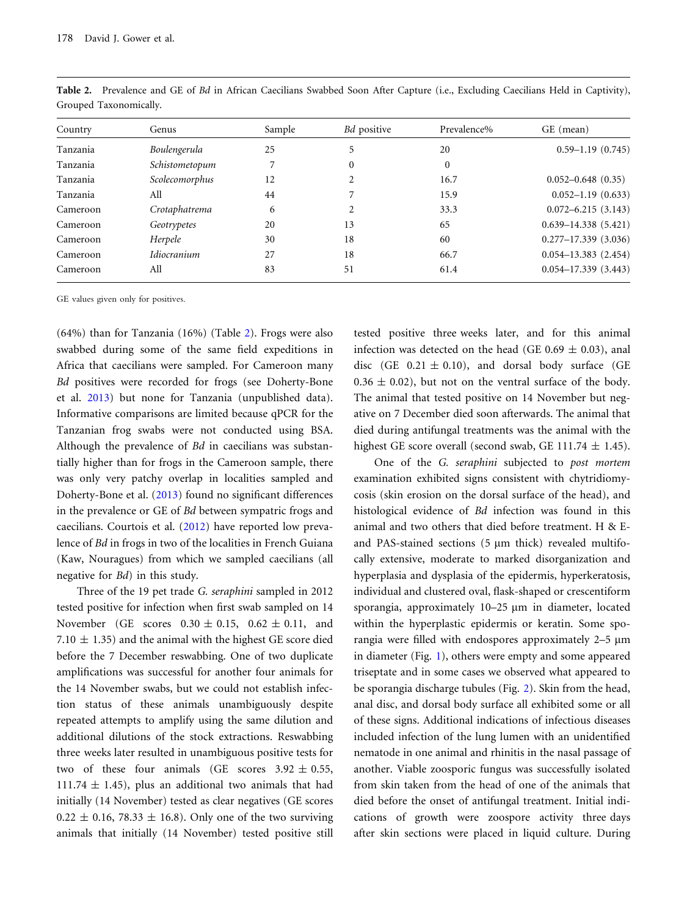| Country  | Genus              | Sample | <i>Bd</i> positive | Prevalence% | GE (mean)                  |
|----------|--------------------|--------|--------------------|-------------|----------------------------|
| Tanzania | Boulengerula       | 25     | 5                  | 20          | $0.59 - 1.19(0.745)$       |
| Tanzania | Schistometopum     |        | $\mathbf{0}$       | $\theta$    |                            |
| Tanzania | Scolecomorphus     | 12     | 2                  | 16.7        | $0.052 - 0.648(0.35)$      |
| Tanzania | All                | 44     |                    | 15.9        | $0.052 - 1.19(0.633)$      |
| Cameroon | Crotaphatrema      | 6      |                    | 33.3        | $0.072 - 6.215(3.143)$     |
| Cameroon | Geotrypetes        | 20     | 13                 | 65          | $0.639 - 14.338(5.421)$    |
| Cameroon | Herpele            | 30     | 18                 | 60          | $0.277 - 17.339(3.036)$    |
| Cameroon | <b>Idiocranium</b> | 27     | 18                 | 66.7        | $0.054 - 13.383$ $(2.454)$ |
| Cameroon | All                | 83     | 51                 | 61.4        | $0.054 - 17.339(3.443)$    |

Table 2. Prevalence and GE of Bd in African Caecilians Swabbed Soon After Capture (i.e., Excluding Caecilians Held in Captivity), Grouped Taxonomically.

GE values given only for positives.

(64%) than for Tanzania (16%) (Table 2). Frogs were also swabbed during some of the same field expeditions in Africa that caecilians were sampled. For Cameroon many Bd positives were recorded for frogs (see Doherty-Bone et al. [2013\)](#page-10-0) but none for Tanzania (unpublished data). Informative comparisons are limited because qPCR for the Tanzanian frog swabs were not conducted using BSA. Although the prevalence of Bd in caecilians was substantially higher than for frogs in the Cameroon sample, there was only very patchy overlap in localities sampled and Doherty-Bone et al. ([2013\)](#page-10-0) found no significant differences in the prevalence or GE of Bd between sympatric frogs and caecilians. Courtois et al. ([2012\)](#page-10-0) have reported low prevalence of Bd in frogs in two of the localities in French Guiana (Kaw, Nouragues) from which we sampled caecilians (all negative for Bd) in this study.

Three of the 19 pet trade G. seraphini sampled in 2012 tested positive for infection when first swab sampled on 14 November (GE scores  $0.30 \pm 0.15$ ,  $0.62 \pm 0.11$ , and 7.10  $\pm$  1.35) and the animal with the highest GE score died before the 7 December reswabbing. One of two duplicate amplifications was successful for another four animals for the 14 November swabs, but we could not establish infection status of these animals unambiguously despite repeated attempts to amplify using the same dilution and additional dilutions of the stock extractions. Reswabbing three weeks later resulted in unambiguous positive tests for two of these four animals (GE scores  $3.92 \pm 0.55$ , 111.74  $\pm$  1.45), plus an additional two animals that had initially (14 November) tested as clear negatives (GE scores  $0.22 \pm 0.16$ , 78.33  $\pm$  16.8). Only one of the two surviving animals that initially (14 November) tested positive still tested positive three weeks later, and for this animal infection was detected on the head (GE 0.69  $\pm$  0.03), anal disc (GE  $0.21 \pm 0.10$ ), and dorsal body surface (GE  $0.36 \pm 0.02$ ), but not on the ventral surface of the body. The animal that tested positive on 14 November but negative on 7 December died soon afterwards. The animal that died during antifungal treatments was the animal with the highest GE score overall (second swab, GE 111.74  $\pm$  1.45).

One of the G. seraphini subjected to post mortem examination exhibited signs consistent with chytridiomycosis (skin erosion on the dorsal surface of the head), and histological evidence of Bd infection was found in this animal and two others that died before treatment. H & Eand PAS-stained sections (5 um thick) revealed multifocally extensive, moderate to marked disorganization and hyperplasia and dysplasia of the epidermis, hyperkeratosis, individual and clustered oval, flask-shaped or crescentiform sporangia, approximately 10–25 µm in diameter, located within the hyperplastic epidermis or keratin. Some sporangia were filled with endospores approximately  $2-5 \mu m$ in diameter (Fig. [1\)](#page-7-0), others were empty and some appeared triseptate and in some cases we observed what appeared to be sporangia discharge tubules (Fig. [2](#page-7-0)). Skin from the head, anal disc, and dorsal body surface all exhibited some or all of these signs. Additional indications of infectious diseases included infection of the lung lumen with an unidentified nematode in one animal and rhinitis in the nasal passage of another. Viable zoosporic fungus was successfully isolated from skin taken from the head of one of the animals that died before the onset of antifungal treatment. Initial indications of growth were zoospore activity three days after skin sections were placed in liquid culture. During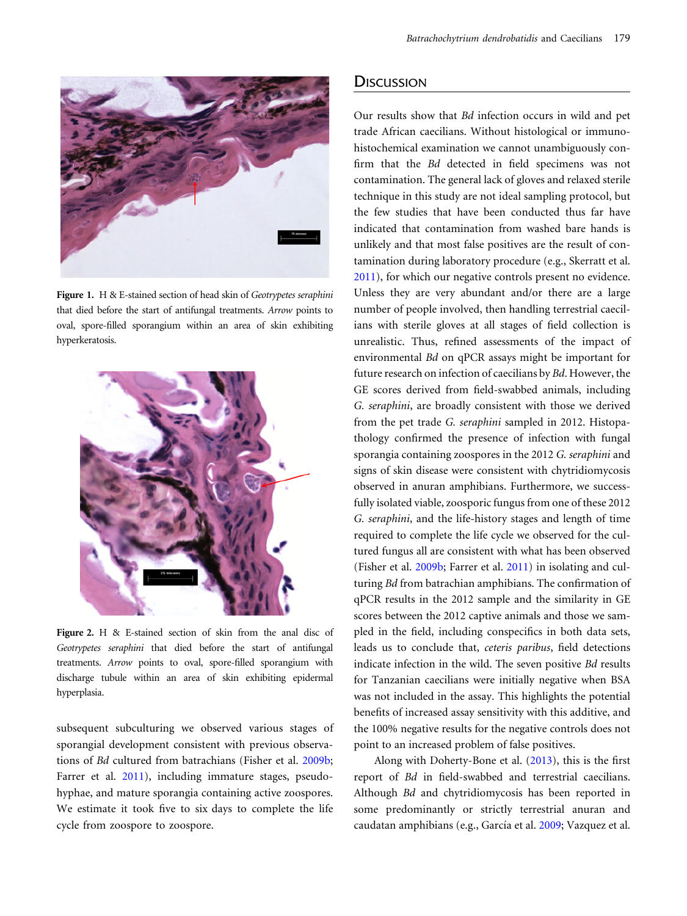<span id="page-7-0"></span>

Figure 1. H & E-stained section of head skin of Geotrypetes seraphini that died before the start of antifungal treatments. Arrow points to oval, spore-filled sporangium within an area of skin exhibiting hyperkeratosis.



Figure 2. H & E-stained section of skin from the anal disc of Geotrypetes seraphini that died before the start of antifungal treatments. Arrow points to oval, spore-filled sporangium with discharge tubule within an area of skin exhibiting epidermal hyperplasia.

subsequent subculturing we observed various stages of sporangial development consistent with previous observations of Bd cultured from batrachians (Fisher et al. [2009b;](#page-10-0) Farrer et al. [2011\)](#page-10-0), including immature stages, pseudohyphae, and mature sporangia containing active zoospores. We estimate it took five to six days to complete the life cycle from zoospore to zoospore.

#### **DISCUSSION**

Our results show that Bd infection occurs in wild and pet trade African caecilians. Without histological or immunohistochemical examination we cannot unambiguously confirm that the Bd detected in field specimens was not contamination. The general lack of gloves and relaxed sterile technique in this study are not ideal sampling protocol, but the few studies that have been conducted thus far have indicated that contamination from washed bare hands is unlikely and that most false positives are the result of contamination during laboratory procedure (e.g., Skerratt et al. [2011](#page-11-0)), for which our negative controls present no evidence. Unless they are very abundant and/or there are a large number of people involved, then handling terrestrial caecilians with sterile gloves at all stages of field collection is unrealistic. Thus, refined assessments of the impact of environmental Bd on qPCR assays might be important for future research on infection of caecilians by Bd. However, the GE scores derived from field-swabbed animals, including G. seraphini, are broadly consistent with those we derived from the pet trade G. seraphini sampled in 2012. Histopathology confirmed the presence of infection with fungal sporangia containing zoospores in the 2012 G. seraphini and signs of skin disease were consistent with chytridiomycosis observed in anuran amphibians. Furthermore, we successfully isolated viable, zoosporic fungus from one of these 2012 G. seraphini, and the life-history stages and length of time required to complete the life cycle we observed for the cultured fungus all are consistent with what has been observed (Fisher et al. [2009b](#page-10-0); Farrer et al. [2011](#page-10-0)) in isolating and culturing Bd from batrachian amphibians. The confirmation of qPCR results in the 2012 sample and the similarity in GE scores between the 2012 captive animals and those we sampled in the field, including conspecifics in both data sets, leads us to conclude that, ceteris paribus, field detections indicate infection in the wild. The seven positive Bd results for Tanzanian caecilians were initially negative when BSA was not included in the assay. This highlights the potential benefits of increased assay sensitivity with this additive, and the 100% negative results for the negative controls does not point to an increased problem of false positives.

Along with Doherty-Bone et al. [\(2013\)](#page-10-0), this is the first report of Bd in field-swabbed and terrestrial caecilians. Although Bd and chytridiomycosis has been reported in some predominantly or strictly terrestrial anuran and caudatan amphibians (e.g., García et al. [2009](#page-10-0); Vazquez et al.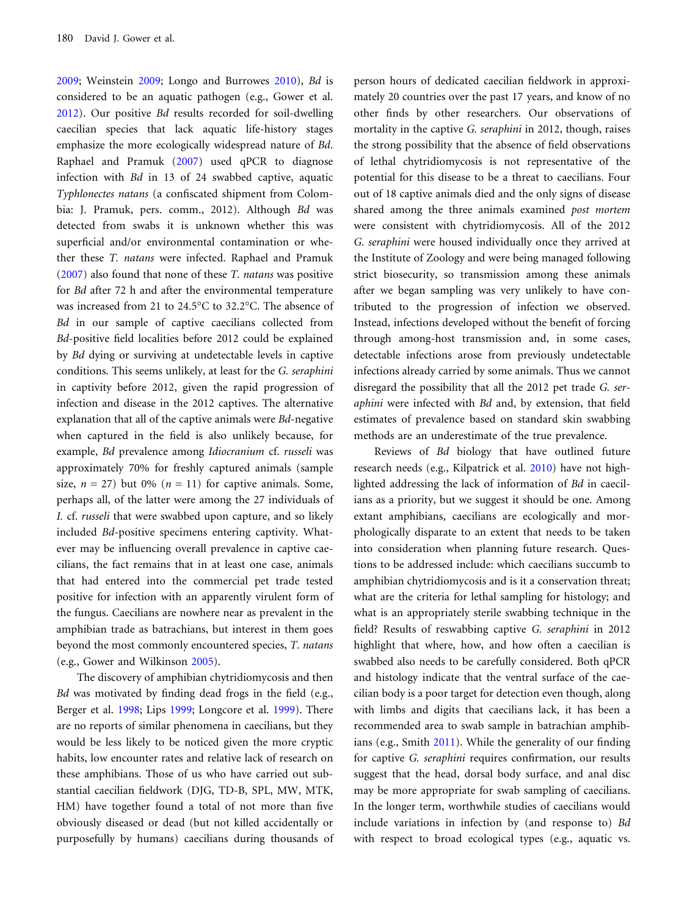[2009](#page-11-0); Weinstein [2009;](#page-11-0) Longo and Burrowes [2010](#page-10-0)), Bd is considered to be an aquatic pathogen (e.g., Gower et al. [2012](#page-10-0)). Our positive Bd results recorded for soil-dwelling caecilian species that lack aquatic life-history stages emphasize the more ecologically widespread nature of Bd. Raphael and Pramuk ([2007\)](#page-10-0) used qPCR to diagnose infection with Bd in 13 of 24 swabbed captive, aquatic Typhlonectes natans (a confiscated shipment from Colombia: J. Pramuk, pers. comm., 2012). Although Bd was detected from swabs it is unknown whether this was superficial and/or environmental contamination or whether these T. natans were infected. Raphael and Pramuk ([2007\)](#page-10-0) also found that none of these T. natans was positive for Bd after 72 h and after the environmental temperature was increased from 21 to 24.5°C to 32.2°C. The absence of Bd in our sample of captive caecilians collected from Bd-positive field localities before 2012 could be explained by Bd dying or surviving at undetectable levels in captive conditions. This seems unlikely, at least for the G. seraphini in captivity before 2012, given the rapid progression of infection and disease in the 2012 captives. The alternative explanation that all of the captive animals were Bd-negative when captured in the field is also unlikely because, for example, Bd prevalence among Idiocranium cf. russeli was approximately 70% for freshly captured animals (sample size,  $n = 27$ ) but 0% ( $n = 11$ ) for captive animals. Some, perhaps all, of the latter were among the 27 individuals of I. cf. russeli that were swabbed upon capture, and so likely included Bd-positive specimens entering captivity. Whatever may be influencing overall prevalence in captive caecilians, the fact remains that in at least one case, animals that had entered into the commercial pet trade tested positive for infection with an apparently virulent form of the fungus. Caecilians are nowhere near as prevalent in the amphibian trade as batrachians, but interest in them goes beyond the most commonly encountered species, T. natans (e.g., Gower and Wilkinson [2005\)](#page-10-0).

The discovery of amphibian chytridiomycosis and then Bd was motivated by finding dead frogs in the field (e.g., Berger et al. [1998;](#page-10-0) Lips [1999;](#page-10-0) Longcore et al. [1999](#page-10-0)). There are no reports of similar phenomena in caecilians, but they would be less likely to be noticed given the more cryptic habits, low encounter rates and relative lack of research on these amphibians. Those of us who have carried out substantial caecilian fieldwork (DJG, TD-B, SPL, MW, MTK, HM) have together found a total of not more than five obviously diseased or dead (but not killed accidentally or purposefully by humans) caecilians during thousands of

person hours of dedicated caecilian fieldwork in approximately 20 countries over the past 17 years, and know of no other finds by other researchers. Our observations of mortality in the captive G. seraphini in 2012, though, raises the strong possibility that the absence of field observations of lethal chytridiomycosis is not representative of the potential for this disease to be a threat to caecilians. Four out of 18 captive animals died and the only signs of disease shared among the three animals examined post mortem were consistent with chytridiomycosis. All of the 2012 G. seraphini were housed individually once they arrived at the Institute of Zoology and were being managed following strict biosecurity, so transmission among these animals after we began sampling was very unlikely to have contributed to the progression of infection we observed. Instead, infections developed without the benefit of forcing through among-host transmission and, in some cases, detectable infections arose from previously undetectable infections already carried by some animals. Thus we cannot disregard the possibility that all the 2012 pet trade G. seraphini were infected with Bd and, by extension, that field estimates of prevalence based on standard skin swabbing methods are an underestimate of the true prevalence.

Reviews of Bd biology that have outlined future research needs (e.g., Kilpatrick et al. [2010](#page-10-0)) have not highlighted addressing the lack of information of Bd in caecilians as a priority, but we suggest it should be one. Among extant amphibians, caecilians are ecologically and morphologically disparate to an extent that needs to be taken into consideration when planning future research. Questions to be addressed include: which caecilians succumb to amphibian chytridiomycosis and is it a conservation threat; what are the criteria for lethal sampling for histology; and what is an appropriately sterile swabbing technique in the field? Results of reswabbing captive G. seraphini in 2012 highlight that where, how, and how often a caecilian is swabbed also needs to be carefully considered. Both qPCR and histology indicate that the ventral surface of the caecilian body is a poor target for detection even though, along with limbs and digits that caecilians lack, it has been a recommended area to swab sample in batrachian amphibians (e.g., Smith [2011\)](#page-11-0). While the generality of our finding for captive G. seraphini requires confirmation, our results suggest that the head, dorsal body surface, and anal disc may be more appropriate for swab sampling of caecilians. In the longer term, worthwhile studies of caecilians would include variations in infection by (and response to) Bd with respect to broad ecological types (e.g., aquatic vs.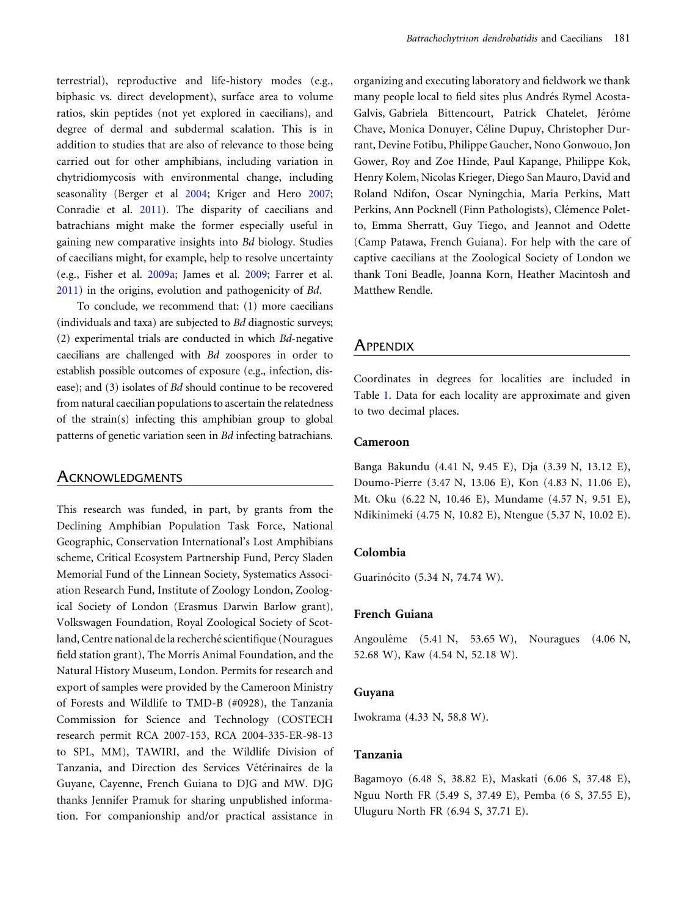terrestrial), reproductive and life-history modes (e.g., biphasic vs. direct development), surface area to volume ratios, skin peptides (not yet explored in caecilians), and degree of dermal and subdermal scalation. This is in addition to studies that are also of relevance to those being carried out for other amphibians, including variation in chytridiomycosis with environmental change, including seasonality (Berger et al [2004](#page-10-0); Kriger and Hero [2007;](#page-10-0) Conradie et al. [2011\)](#page-10-0). The disparity of caecilians and batrachians might make the former especially useful in gaining new comparative insights into Bd biology. Studies of caecilians might, for example, help to resolve uncertainty (e.g., Fisher et al. [2009a](#page-10-0); James et al. [2009;](#page-10-0) Farrer et al. [2011](#page-10-0)) in the origins, evolution and pathogenicity of Bd.

To conclude, we recommend that: (1) more caecilians (individuals and taxa) are subjected to Bd diagnostic surveys; (2) experimental trials are conducted in which Bd-negative caecilians are challenged with Bd zoospores in order to establish possible outcomes of exposure (e.g., infection, disease); and (3) isolates of Bd should continue to be recovered from natural caecilian populations to ascertain the relatedness of the strain(s) infecting this amphibian group to global patterns of genetic variation seen in Bd infecting batrachians.

#### **ACKNOWLEDGMENTS**

This research was funded, in part, by grants from the Declining Amphibian Population Task Force, National Geographic, Conservation International's Lost Amphibians scheme, Critical Ecosystem Partnership Fund, Percy Sladen Memorial Fund of the Linnean Society, Systematics Association Research Fund, Institute of Zoology London, Zoological Society of London (Erasmus Darwin Barlow grant), Volkswagen Foundation, Royal Zoological Society of Scotland, Centre national de la recherché scientifique (Nouragues field station grant), The Morris Animal Foundation, and the Natural History Museum, London. Permits for research and export of samples were provided by the Cameroon Ministry of Forests and Wildlife to TMD-B (#0928), the Tanzania Commission for Science and Technology (COSTECH research permit RCA 2007-153, RCA 2004-335-ER-98-13 to SPL, MM), TAWIRI, and the Wildlife Division of Tanzania, and Direction des Services Vétérinaires de la Guyane, Cayenne, French Guiana to DJG and MW. DJG thanks Jennifer Pramuk for sharing unpublished information. For companionship and/or practical assistance in

organizing and executing laboratory and fieldwork we thank many people local to field sites plus Andrés Rymel Acosta-Galvis, Gabriela Bittencourt, Patrick Chatelet, Jérôme Chave, Monica Donuyer, Céline Dupuy, Christopher Durrant, Devine Fotibu, Philippe Gaucher, Nono Gonwouo, Jon Gower, Roy and Zoe Hinde, Paul Kapange, Philippe Kok, Henry Kolem, Nicolas Krieger, Diego San Mauro, David and Roland Ndifon, Oscar Nyningchia, Maria Perkins, Matt Perkins, Ann Pocknell (Finn Pathologists), Clémence Poletto, Emma Sherratt, Guy Tiego, and Jeannot and Odette (Camp Patawa, French Guiana). For help with the care of captive caecilians at the Zoological Society of London we thank Toni Beadle, Joanna Korn, Heather Macintosh and Matthew Rendle.

#### **APPENDIX**

Coordinates in degrees for localities are included in Table [1](#page-3-0). Data for each locality are approximate and given to two decimal places.

#### Cameroon

Banga Bakundu (4.41 N, 9.45 E), Dja (3.39 N, 13.12 E), Doumo-Pierre (3.47 N, 13.06 E), Kon (4.83 N, 11.06 E), Mt. Oku (6.22 N, 10.46 E), Mundame (4.57 N, 9.51 E), Ndikinimeki (4.75 N, 10.82 E), Ntengue (5.37 N, 10.02 E).

#### Colombia

Guarinócito (5.34 N, 74.74 W).

#### French Guiana

Angoulême (5.41 N, 53.65 W), Nouragues (4.06 N, 52.68 W), Kaw (4.54 N, 52.18 W).

#### Guyana

Iwokrama (4.33 N, 58.8 W).

#### Tanzania

Bagamoyo (6.48 S, 38.82 E), Maskati (6.06 S, 37.48 E), Nguu North FR (5.49 S, 37.49 E), Pemba (6 S, 37.55 E), Uluguru North FR (6.94 S, 37.71 E).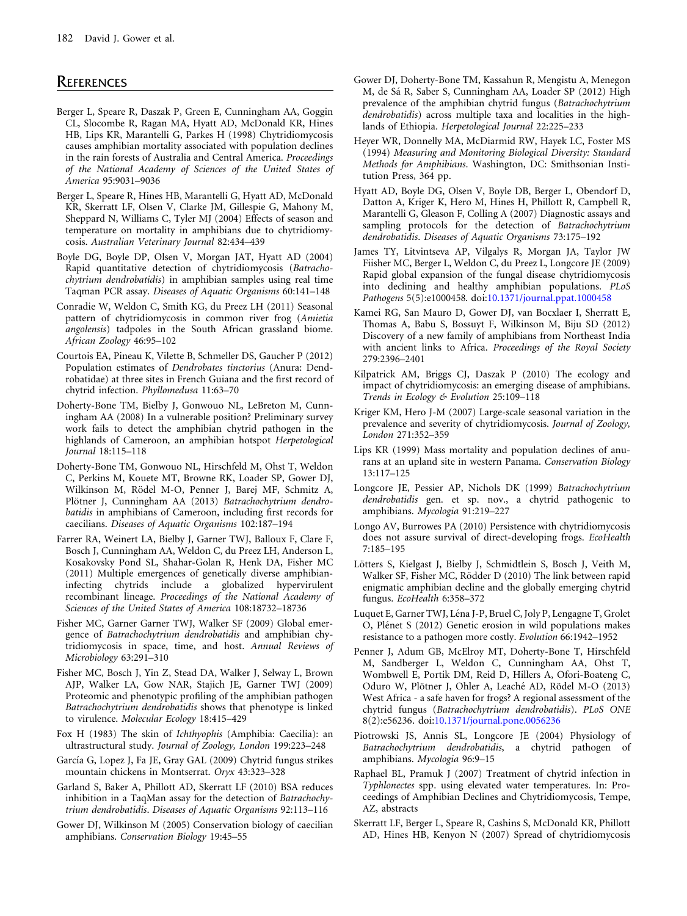## <span id="page-10-0"></span>**REFERENCES**

- Berger L, Speare R, Daszak P, Green E, Cunningham AA, Goggin CL, Slocombe R, Ragan MA, Hyatt AD, McDonald KR, Hines HB, Lips KR, Marantelli G, Parkes H (1998) Chytridiomycosis causes amphibian mortality associated with population declines in the rain forests of Australia and Central America. Proceedings of the National Academy of Sciences of the United States of America 95:9031–9036
- Berger L, Speare R, Hines HB, Marantelli G, Hyatt AD, McDonald KR, Skerratt LF, Olsen V, Clarke JM, Gillespie G, Mahony M, Sheppard N, Williams C, Tyler MJ (2004) Effects of season and temperature on mortality in amphibians due to chytridiomycosis. Australian Veterinary Journal 82:434–439
- Boyle DG, Boyle DP, Olsen V, Morgan JAT, Hyatt AD (2004) Rapid quantitative detection of chytridiomycosis (Batrachochytrium dendrobatidis) in amphibian samples using real time Taqman PCR assay. Diseases of Aquatic Organisms 60:141–148
- Conradie W, Weldon C, Smith KG, du Preez LH (2011) Seasonal pattern of chytridiomycosis in common river frog (Amietia angolensis) tadpoles in the South African grassland biome. African Zoology 46:95–102
- Courtois EA, Pineau K, Vilette B, Schmeller DS, Gaucher P (2012) Population estimates of Dendrobates tinctorius (Anura: Dendrobatidae) at three sites in French Guiana and the first record of chytrid infection. Phyllomedusa 11:63–70
- Doherty-Bone TM, Bielby J, Gonwouo NL, LeBreton M, Cunningham AA (2008) In a vulnerable position? Preliminary survey work fails to detect the amphibian chytrid pathogen in the highlands of Cameroon, an amphibian hotspot Herpetological Journal 18:115–118
- Doherty-Bone TM, Gonwouo NL, Hirschfeld M, Ohst T, Weldon C, Perkins M, Kouete MT, Browne RK, Loader SP, Gower DJ, Wilkinson M, Rödel M-O, Penner J, Barej MF, Schmitz A, Plötner J, Cunningham AA (2013) Batrachochytrium dendrobatidis in amphibians of Cameroon, including first records for caecilians. Diseases of Aquatic Organisms 102:187–194
- Farrer RA, Weinert LA, Bielby J, Garner TWJ, Balloux F, Clare F, Bosch J, Cunningham AA, Weldon C, du Preez LH, Anderson L, Kosakovsky Pond SL, Shahar-Golan R, Henk DA, Fisher MC (2011) Multiple emergences of genetically diverse amphibianinfecting chytrids include a globalized hypervirulent recombinant lineage. Proceedings of the National Academy of Sciences of the United States of America 108:18732–18736
- Fisher MC, Garner Garner TWJ, Walker SF (2009) Global emergence of Batrachochytrium dendrobatidis and amphibian chytridiomycosis in space, time, and host. Annual Reviews of Microbiology 63:291–310
- Fisher MC, Bosch J, Yin Z, Stead DA, Walker J, Selway L, Brown AJP, Walker LA, Gow NAR, Stajich JE, Garner TWJ (2009) Proteomic and phenotypic profiling of the amphibian pathogen Batrachochytrium dendrobatidis shows that phenotype is linked to virulence. Molecular Ecology 18:415–429
- Fox H (1983) The skin of Ichthyophis (Amphibia: Caecilia): an ultrastructural study. Journal of Zoology, London 199:223–248
- García G, Lopez J, Fa JE, Gray GAL (2009) Chytrid fungus strikes mountain chickens in Montserrat. Oryx 43:323–328
- Garland S, Baker A, Phillott AD, Skerratt LF (2010) BSA reduces inhibition in a TaqMan assay for the detection of Batrachochytrium dendrobatidis. Diseases of Aquatic Organisms 92:113–116
- Gower DJ, Wilkinson M (2005) Conservation biology of caecilian amphibians. Conservation Biology 19:45–55
- Gower DJ, Doherty-Bone TM, Kassahun R, Mengistu A, Menegon M, de Sá R, Saber S, Cunningham AA, Loader SP (2012) High prevalence of the amphibian chytrid fungus (Batrachochytrium dendrobatidis) across multiple taxa and localities in the highlands of Ethiopia. Herpetological Journal 22:225–233
- Heyer WR, Donnelly MA, McDiarmid RW, Hayek LC, Foster MS (1994) Measuring and Monitoring Biological Diversity: Standard Methods for Amphibians. Washington, DC: Smithsonian Institution Press, 364 pp.
- Hyatt AD, Boyle DG, Olsen V, Boyle DB, Berger L, Obendorf D, Datton A, Kriger K, Hero M, Hines H, Phillott R, Campbell R, Marantelli G, Gleason F, Colling A (2007) Diagnostic assays and sampling protocols for the detection of Batrachochytrium dendrobatidis. Diseases of Aquatic Organisms 73:175–192
- James TY, Litvintseva AP, Vilgalys R, Morgan JA, Taylor JW Fiisher MC, Berger L, Weldon C, du Preez L, Longcore JE (2009) Rapid global expansion of the fungal disease chytridiomycosis into declining and healthy amphibian populations. PLoS Pathogens 5(5):e1000458. doi[:10.1371/journal.ppat.1000458](http://dx.doi.org/10.1371/journal.ppat.1000458)
- Kamei RG, San Mauro D, Gower DJ, van Bocxlaer I, Sherratt E, Thomas A, Babu S, Bossuyt F, Wilkinson M, Biju SD (2012) Discovery of a new family of amphibians from Northeast India with ancient links to Africa. Proceedings of the Royal Society 279:2396–2401
- Kilpatrick AM, Briggs CJ, Daszak P (2010) The ecology and impact of chytridiomycosis: an emerging disease of amphibians. Trends in Ecology & Evolution 25:109–118
- Kriger KM, Hero J-M (2007) Large-scale seasonal variation in the prevalence and severity of chytridiomycosis. Journal of Zoology, London 271:352–359
- Lips KR (1999) Mass mortality and population declines of anurans at an upland site in western Panama. Conservation Biology 13:117–125
- Longcore JE, Pessier AP, Nichols DK (1999) Batrachochytrium dendrobatidis gen. et sp. nov., a chytrid pathogenic to amphibians. Mycologia 91:219–227
- Longo AV, Burrowes PA (2010) Persistence with chytridiomycosis does not assure survival of direct-developing frogs. EcoHealth 7:185–195
- Lötters S, Kielgast J, Bielby J, Schmidtlein S, Bosch J, Veith M, Walker SF, Fisher MC, Rödder D (2010) The link between rapid enigmatic amphibian decline and the globally emerging chytrid fungus. EcoHealth 6:358–372
- Luquet E, Garner TWJ, Léna J-P, Bruel C, Joly P, Lengagne T, Grolet O, Plénet S (2012) Genetic erosion in wild populations makes resistance to a pathogen more costly. Evolution 66:1942–1952
- Penner J, Adum GB, McElroy MT, Doherty-Bone T, Hirschfeld M, Sandberger L, Weldon C, Cunningham AA, Ohst T, Wombwell E, Portik DM, Reid D, Hillers A, Ofori-Boateng C, Oduro W, Plötner J, Ohler A, Leaché AD, Rödel M-O (2013) West Africa - a safe haven for frogs? A regional assessment of the chytrid fungus (Batrachochytrium dendrobatidis). PLoS ONE 8(2):e56236. doi:[10.1371/journal.pone.0056236](http://dx.doi.org/10.1371/journal.pone.0056236)
- Piotrowski JS, Annis SL, Longcore JE (2004) Physiology of Batrachochytrium dendrobatidis, a chytrid pathogen of amphibians. Mycologia 96:9–15
- Raphael BL, Pramuk J (2007) Treatment of chytrid infection in Typhlonectes spp. using elevated water temperatures. In: Proceedings of Amphibian Declines and Chytridiomycosis, Tempe, AZ, abstracts
- Skerratt LF, Berger L, Speare R, Cashins S, McDonald KR, Phillott AD, Hines HB, Kenyon N (2007) Spread of chytridiomycosis